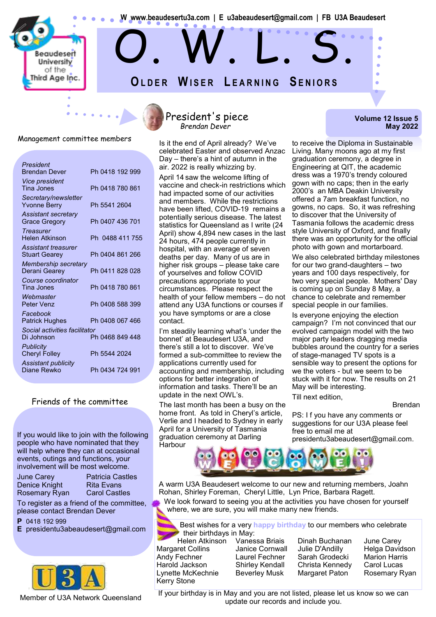

## Management committee members<br>Is it the end of April already? We've

| President<br><b>Brendan Dever</b>                 | Ph 0418 192 999 |
|---------------------------------------------------|-----------------|
| <i><b>Vice president</b></i><br><b>Tina Jones</b> | Ph 0418 780 861 |
| Secretary/newsletter<br><b>Yvonne Berry</b>       | Ph 5541 2604    |
| Assistant secretary<br><b>Grace Gregory</b>       | Ph 0407 436 701 |
| <b>Treasurer</b><br>Helen Atkinson                | Ph 0488 411 755 |
| Assistant treasurer<br><b>Stuart Gearey</b>       | Ph 0404 861 266 |
| Membership secretary<br>Derani Gearey             | Ph 0411 828 028 |
| Course coordinator<br>Tina Jones                  | Ph 0418 780 861 |
| Webmaster<br>Peter Venz                           | Ph 0408 588 399 |
| Facebook<br><b>Patrick Hughes</b>                 | Ph 0408 067 466 |
| Social activities facilitator<br>Di Johnson       | Ph 0468 849 448 |
| <b>Publicity</b><br><b>Cheryl Folley</b>          | Ph 5544 2024    |
| Assistant publicity<br>Diane Rewko                | Ph 0434 724 991 |
|                                                   |                 |

#### Friends of the committee

If you would like to join with the following people who have nominated that they will help where they can at occasional events, outings and functions, your involvement will be most welcome.

| <b>June Carey</b> |
|-------------------|
| Denice Knight     |
| Rosemary Ryar     |

Patricia Castles **Rita Evans Carol Castles** 

To register as a friend of the committee, please contact Brendan Dever

**P** 0418 192 999

**E** presidentu3abeaudesert@gmail.com



Member of U3A Network Queensland

#### President's piece *Brendan Dever*

celebrated Easter and observed Anzac Day – there's a hint of autumn in the air. 2022 is really whizzing by.

April 14 saw the welcome lifting of vaccine and check-in restrictions which had impacted some of our activities and members. While the restrictions have been lifted, COVID-19 remains a potentially serious disease. The latest statistics for Queensland as I write (24 April) show 4,894 new cases in the last 24 hours, 474 people currently in hospital, with an average of seven deaths per day. Many of us are in higher risk groups – please take care of yourselves and follow COVID precautions appropriate to your circumstances. Please respect the health of your fellow members – do not attend any U3A functions or courses if you have symptoms or are a close contact.

I'm steadily learning what's 'under the bonnet' at Beaudesert U3A, and there's still a lot to discover. We've formed a sub-committee to review the applications currently used for accounting and membership, including options for better integration of information and tasks. There'll be an update in the next OWL's.

The last month has been a busy on the home front. As told in Cheryl's article, Verlie and I headed to Sydney in early April for a University of Tasmania graduation ceremony at Darling **Harbour** 

**Volume 12 Issue 5 May 2022**

to receive the Diploma in Sustainable Living. Many moons ago at my first graduation ceremony, a degree in Engineering at QIT, the academic dress was a 1970's trendy coloured gown with no caps; then in the early 2000's an MBA Deakin University offered a 7am breakfast function, no gowns, no caps. So, it was refreshing to discover that the University of Tasmania follows the academic dress style University of Oxford, and finally there was an opportunity for the official photo with gown and mortarboard.

We also celebrated birthday milestones for our two grand-daughters – two years and 100 days respectively, for two very special people. Mothers' Day is coming up on Sunday 8 May, a chance to celebrate and remember special people in our families.

Is everyone enjoying the election campaign? I'm not convinced that our evolved campaign model with the two major party leaders dragging media bubbles around the country for a series of stage-managed TV spots is a sensible way to present the options for we the voters - but we seem to be stuck with it for now. The results on 21 May will be interesting. Till next edition,

Brendan

PS: I f you have any comments or suggestions for our U3A please feel free to email me at presidentu3abeaudesert@gmail.com.



A warm U3A Beaudesert welcome to our new and returning members, Joahn Rohan, Shirley Foreman, Cheryl Little, Lyn Price, Barbara Ragett.

We look forward to seeing you at the activities you have chosen for yourself where, we are sure, you will make many new friends.

Best wishes for a very **happy birthday** to our members who celebrate **their birthdays in May:**<br>Helen Atkinson Vanessa Briais

Margaret Collins Janice Cornwall Julie D'Andilly Helga Davidson Andy Fechner Laurel Fechner Sarah Grodecki Marion Harris Harold Jackson Shirley Kendall Christa Kennedy Carol Lucas Lynette McKechnie Beverley Musk Margaret Paton Rosemary Ryan Kerry Stone

Dinah Buchanan June Carey

If your birthday is in May and you are not listed, please let us know so we can update our records and include you.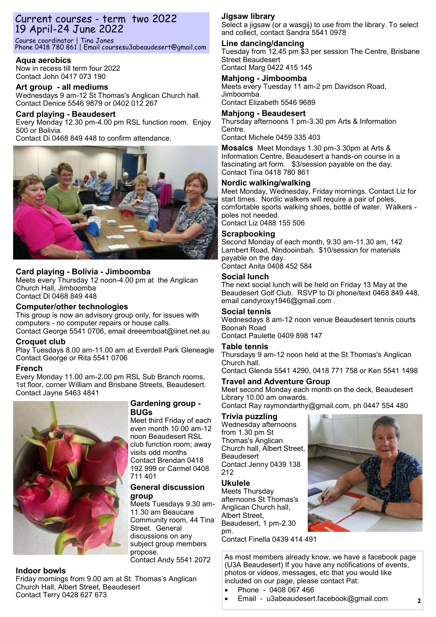## Current courses - term two 2022 19 April-24 June 2022

Course coordinator | Tina Jones Phone 0418 780 861 | Email coursesu3abeaudesert@gmail.com

#### **Aqua aerobics**

Now in recess till term four 2022 Contact John 0417 073 190

#### **Art group - all mediums** Wednesdays 9 am-12 St Thomas's Anglican Church hall. Contact Denice 5546 9879 or 0402 012 267

**Card playing - Beaudesert** Every Monday 12.30 pm-4.00 pm RSL function room. Enjoy 500 or Bolivia. Contact Di 0468 849 448 to confirm attendance.



### **Card playing - Bolivia - Jimboomba**

Meets every Thursday 12 noon-4.00 pm at the Anglican Church Hall, Jimboomba Contact Di 0468 849 448

#### **Computer/other technologies**

This group is now an advisory group only, for issues with computers - no computer repairs or house calls. Contact George 5541 0706, email dreeemboat@iinet.net.au

#### **Croquet club**

Play Tuesdays 8.00 am-11.00 am at Everdell Park Gleneagle Contact George or Rita 5541 0706

#### **French**

Every Monday 11.00 am-2.00 pm RSL Sub Branch rooms, 1st floor, corner William and Brisbane Streets, Beaudesert. Contact Jayne 5463 4841



#### **Gardening group - BUGs**

Meet third Friday of each even month 10.00 am-12 noon Beaudesert RSL club function room; away visits odd months Contact Brendan 0418 192 999 or Carmel 0408 711 401

#### **General discussion group**

Meets Tuesdays 9.30 am-11.30 am Beaucare Community room, 44 Tina Street. General discussions on any subject group members propose. Contact Andy 5541 2072

#### **Indoor bowls**

Friday mornings from 9.00 am at St. Thomas's Anglican Church Hall, Albert Street, Beaudesert Contact Terry 0428 627 673

## **Jigsaw library**

Select a jigsaw (or a wasgij) to use from the library. To select and collect, contact Sandra 5541 0978

## **Line dancing/dancing**

Tuesday from 12.45 pm \$3 per session The Centre, Brisbane Street Beaudesert Contact Marg 0422 415 145

**Mahjong - Jimboomba** Meets every Tuesday 11 am-2 pm Davidson Road, Jimboomba. Contact Elizabeth 5546 9689

#### **Mahjong - Beaudesert**

Thursday afternoons 1 pm-3.30 pm Arts & Information Centre.

Contact Michele 0459 335 403

**Mosaics** Meet Mondays 1.30 pm-3.30pm at Arts & Information Centre, Beaudesert a hands-on course in a fascinating art form. \$3/session payable on the day. Contact Tina 0418 780 861

### **Nordic walking/walking**

Meet Monday, Wednesday, Friday mornings. Contact Liz for start times. Nordic walkers will require a pair of poles, comfortable sports walking shoes, bottle of water. Walkers poles not needed.

Contact Liz 0488 155 506

#### **Scrapbooking**

Second Monday of each month, 9.30 am-11.30 am, 142 Lambert Road, Nindooinbah. \$10/session for materials payable on the day. Contact Anita 0408 452 584

#### **Social lunch**

The next social lunch will be held on Friday 13 May at the Beaudesert Golf Club. RSVP to Di phone/text 0468 849 448, email candyroxy1946@gmail.com .

#### **Social tennis**

Wednesdays 8 am-12 noon venue Beaudesert tennis courts Boonah Road Contact Paulette 0409 898 147

## **Table tennis**

Thursdays 9 am-12 noon held at the St Thomas's Anglican Church hall.

Contact Glenda 5541 4290, 0418 771 758 or Ken 5541 1498

#### **Travel and Adventure Group**

Meet second Monday each month on the deck, Beaudesert Library 10.00 am onwards.

Contact Ray raymondarthy@gmail.com, ph 0447 554 480

#### **Trivia puzzling**

Wednesday afternoons from 1.30 pm St Thomas's Anglican Church hall, Albert Street, Beaudesert Contact Jenny 0439 138 212

#### **Ukulele**

Meets Thursday afternoons St Thomas's Anglican Church hall, Albert Street, Beaudesert, 1 pm-2.30 pm.

Contact Finella 0439 414 491

As most members already know, we have a facebook page (U3A Beaudesert) If you have any notifications of events, photos or videos, messages, etc that you would like included on our page, please contact Pat:

- Phone 0408 067 466
- Email u3abeaudesert.facebook@gmail.com



**2**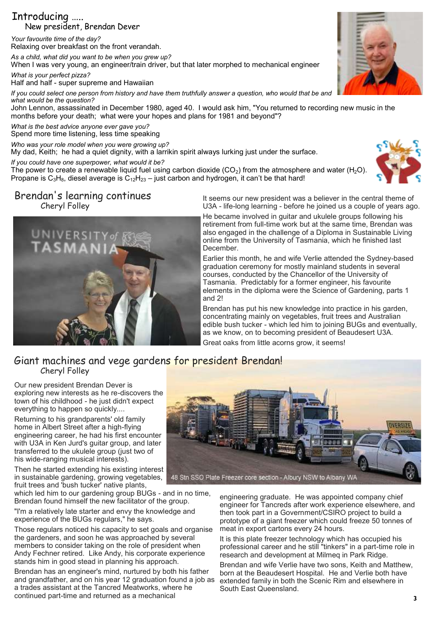## Introducing ….. New president, Brendan Dever

*Your favourite time of the day?* Relaxing over breakfast on the front verandah.

*As a child, what did you want to be when you grew up?*

When I was very young, an engineer/train driver, but that later morphed to mechanical engineer

*What is your perfect pizza?* Half and half - super supreme and Hawaiian

*If you could select one person from history and have them truthfully answer a question, who would that be and what would be the question?*

John Lennon, assassinated in December 1980, aged 40. I would ask him, "You returned to recording new music in the months before your death; what were your hopes and plans for 1981 and beyond"?

*What is the best advice anyone ever gave you?*

Spend more time listening, less time speaking

*Who was your role model when you were growing up?* My dad, Keith; he had a quiet dignity, with a larrikin spirit always lurking just under the surface.

*If you could have one superpower, what would it be?*

The power to create a renewable liquid fuel using carbon dioxide (CO<sub>2</sub>) from the atmosphere and water (H<sub>2</sub>O). Propane is  $C_3H_8$ , diesel average is  $C_{12}H_{23}$  – just carbon and hydrogen, it can't be that hard!

## Brendan's learning continues Cheryl Folley



It seems our new president was a believer in the central theme of U3A - life-long learning - before he joined us a couple of years ago.

He became involved in guitar and ukulele groups following his retirement from full-time work but at the same time, Brendan was also engaged in the challenge of a Diploma in Sustainable Living online from the University of Tasmania, which he finished last December.

Earlier this month, he and wife Verlie attended the Sydney-based graduation ceremony for mostly mainland students in several courses, conducted by the Chancellor of the University of Tasmania. Predictably for a former engineer, his favourite elements in the diploma were the Science of Gardening, parts 1 and 2!

Brendan has put his new knowledge into practice in his garden, concentrating mainly on vegetables, fruit trees and Australian edible bush tucker - which led him to joining BUGs and eventually, as we know, on to becoming president of Beaudesert U3A.

Great oaks from little acorns grow, it seems!

## Giant machines and vege gardens for president Brendan! Cheryl Folley

Our new president Brendan Dever is exploring new interests as he re-discovers the town of his childhood - he just didn't expect everything to happen so quickly....

Returning to his grandparents' old family home in Albert Street after a high-flying engineering career, he had his first encounter with U3A in Ken Jurd's guitar group, and later transferred to the ukulele group (just two of his wide-ranging musical interests).

Then he started extending his existing interest in sustainable gardening, growing vegetables, fruit trees and 'bush tucker' native plants,

which led him to our gardening group BUGs - and in no time, Brendan found himself the new facilitator of the group.

"I'm a relatively late starter and envy the knowledge and experience of the BUGs regulars," he says.

Those regulars noticed his capacity to set goals and organise the gardeners, and soon he was approached by several members to consider taking on the role of president when Andy Fechner retired. Like Andy, his corporate experience stands him in good stead in planning his approach.

Brendan has an engineer's mind, nurtured by both his father and grandfather, and on his year 12 graduation found a job as a trades assistant at the Tancred Meatworks, where he continued part-time and returned as a mechanical



engineering graduate. He was appointed company chief engineer for Tancreds after work experience elsewhere, and then took part in a Government/CSIRO project to build a prototype of a giant freezer which could freeze 50 tonnes of meat in export cartons every 24 hours.

It is this plate freezer technology which has occupied his professional career and he still "tinkers" in a part-time role in research and development at Milmeq in Park Ridge.

Brendan and wife Verlie have two sons, Keith and Matthew, born at the Beaudesert Hospital. He and Verlie both have extended family in both the Scenic Rim and elsewhere in South East Queensland.

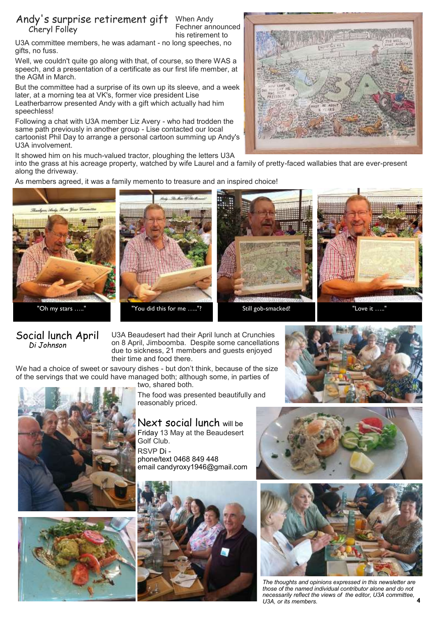#### Andy's surprise retirement gift When Andy Fechner announced his retirement to Cheryl Folley

U3A committee members, he was adamant - no long speeches, no gifts, no fuss.

Well, we couldn't quite go along with that, of course, so there WAS a speech, and a presentation of a certificate as our first life member, at the AGM in March.

But the committee had a surprise of its own up its sleeve, and a week later, at a morning tea at VK's, former vice president Lise Leatherbarrow presented Andy with a gift which actually had him speechless!

Following a chat with U3A member Liz Avery - who had trodden the same path previously in another group - Lise contacted our local cartoonist Phil Day to arrange a personal cartoon summing up Andy's U3A involvement.

It showed him on his much-valued tractor, ploughing the letters U3A

into the grass at his acreage property, watched by wife Laurel and a family of pretty-faced wallabies that are ever-present along the driveway.

As members agreed, it was a family memento to treasure and an inspired choice!



## Social lunch April *Di Johnson*

U3A Beaudesert had their April lunch at Crunchies on 8 April, Jimboomba. Despite some cancellations due to sickness, 21 members and guests enjoyed their time and food there.

We had a choice of sweet or savoury dishes - but don't think, because of the size of the servings that we could have managed both; although some, in parties of two, shared both.





The food was presented beautifully and reasonably priced.

Next social lunch will be Friday 13 May at the Beaudesert Golf Club. RSVP Di -

phone/text 0468 849 448 email candyroxy1946@gmail.com









*The thoughts and opinions expressed in this newsletter are those of the named individual contributor alone and do not necessarily reflect the views of the editor, U3A committee, U3A, or its members.*

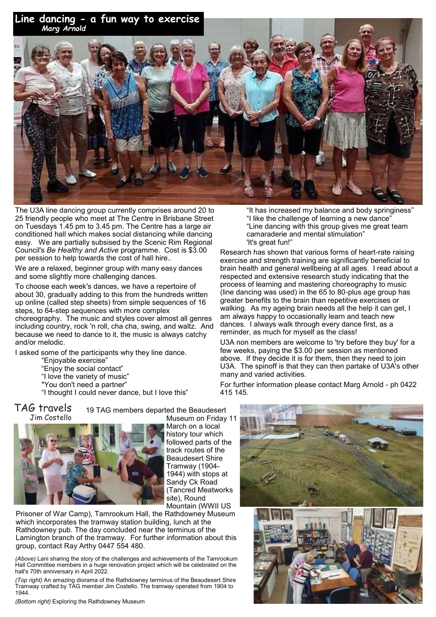**Line dancing - a fun way to exercise**



The U3A line dancing group currently comprises around 20 to 25 friendly people who meet at The Centre in Brisbane Street on Tuesdays 1.45 pm to 3.45 pm. The Centre has a large air conditioned hall which makes social distancing while dancing easy. We are partially subsised by the Scenic Rim Regional Council's *Be Healthy and Active* programme. Cost is \$3.00 per session to help towards the cost of hall hire..

We are a relaxed, beginner group with many easy dances and some slightly more challenging dances.

To choose each week's dances, we have a repertoire of about 30, gradually adding to this from the hundreds written up online (called step sheets) from simple sequences of 16 steps, to 64-step sequences with more complex

choreography. The music and styles cover almost all genres including country, rock 'n roll, cha cha, swing, and waltz. And because we need to dance to it, the music is always catchy and/or melodic.

I asked some of the participants why they line dance.

- "Enjoyable exercise"
- "Enjoy the social contact"
- "I love the variety of music"
- "You don't need a partner"

"I thought I could never dance, but I love this"

19 TAG members departed the Beaudesert Museum on Friday 11 TAG travels Jim Costello



March on a local history tour which followed parts of the track routes of the Beaudesert Shire Tramway (1904- 1944) with stops at Sandy Ck Road (Tancred Meatworks site), Round Mountain (WWII US

Prisoner of War Camp), Tamrookum Hall, the Rathdowney Museum which incorporates the tramway station building, lunch at the Rathdowney pub. The day concluded near the terminus of the Lamington branch of the tramway. For further information about this group, contact Ray Arthy 0447 554 480.

*(Above)* Lani sharing the story of the challenges and achievements of the Tamrookum Hall Committee members in a huge renovation project which will be celebrated on the hall's 70th anniversary in April 2022.

*(Top right)* An amazing diorama of the Rathdowney terminus of the Beaudesert Shire Tramway crafted by TAG member Jim Costello. The tramway operated from 1904 to 1944.

*(Bottom right)* Exploring the Rathdowney Museum

"It has increased my balance and body springiness" "I like the challenge of learning a new dance" "Line dancing with this group gives me great team camaraderie and mental stimulation" 'It's great fun!"

Research has shown that various forms of heart-rate raising exercise and strength training are significantly beneficial to brain health and general wellbeing at all ages. I read about a respected and extensive research study indicating that the process of learning and mastering choreography to music (line dancing was used) in the 65 to 80-plus age group has greater benefits to the brain than repetitive exercises or walking. As my ageing brain needs all the help it can get, I am always happy to occasionally learn and teach new dances. I always walk through every dance first, as a reminder, as much for myself as the class!

U3A non members are welcome to 'try before they buy' for a few weeks, paying the \$3.00 per session as mentioned above. If they decide it is for them, then they need to join U3A. The spinoff is that they can then partake of U3A's other many and varied activities.

For further information please contact Marg Arnold - ph 0422 415 145.